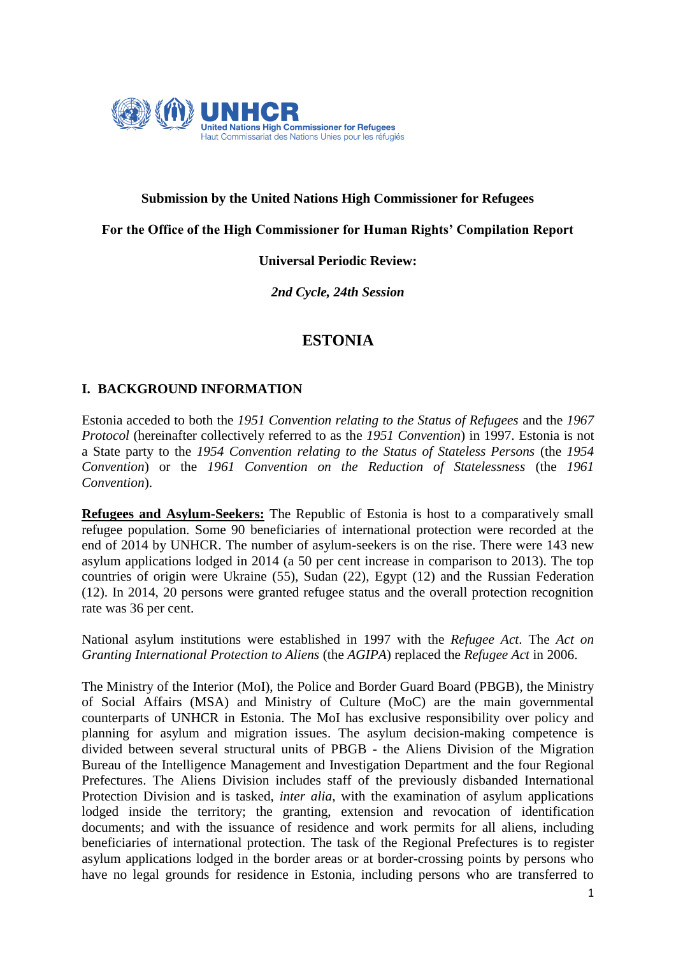

## **Submission by the United Nations High Commissioner for Refugees**

#### **For the Office of the High Commissioner for Human Rights' Compilation Report**

#### **Universal Periodic Review:**

*2nd Cycle, 24th Session*

# **ESTONIA**

#### **I. BACKGROUND INFORMATION**

Estonia acceded to both the *1951 Convention relating to the Status of Refugees* and the *1967 Protocol* (hereinafter collectively referred to as the *1951 Convention*) in 1997. Estonia is not a State party to the *1954 Convention relating to the Status of Stateless Persons* (the *1954 Convention*) or the *1961 Convention on the Reduction of Statelessness* (the *1961 Convention*).

**Refugees and Asylum-Seekers:** The Republic of Estonia is host to a comparatively small refugee population. Some 90 beneficiaries of international protection were recorded at the end of 2014 by UNHCR. The number of asylum-seekers is on the rise. There were 143 new asylum applications lodged in 2014 (a 50 per cent increase in comparison to 2013). The top countries of origin were Ukraine (55), Sudan (22), Egypt (12) and the Russian Federation (12). In 2014, 20 persons were granted refugee status and the overall protection recognition rate was 36 per cent.

National asylum institutions were established in 1997 with the *Refugee Act*. The *Act on Granting International Protection to Aliens* (the *AGIPA*) replaced the *Refugee Act* in 2006.

The Ministry of the Interior (MoI), the Police and Border Guard Board (PBGB), the Ministry of Social Affairs (MSA) and Ministry of Culture (MoC) are the main governmental counterparts of UNHCR in Estonia. The MoI has exclusive responsibility over policy and planning for asylum and migration issues. The asylum decision-making competence is divided between several structural units of PBGB - the Aliens Division of the Migration Bureau of the Intelligence Management and Investigation Department and the four Regional Prefectures. The Aliens Division includes staff of the previously disbanded International Protection Division and is tasked, *inter alia*, with the examination of asylum applications lodged inside the territory; the granting, extension and revocation of identification documents; and with the issuance of residence and work permits for all aliens, including beneficiaries of international protection. The task of the Regional Prefectures is to register asylum applications lodged in the border areas or at border-crossing points by persons who have no legal grounds for residence in Estonia, including persons who are transferred to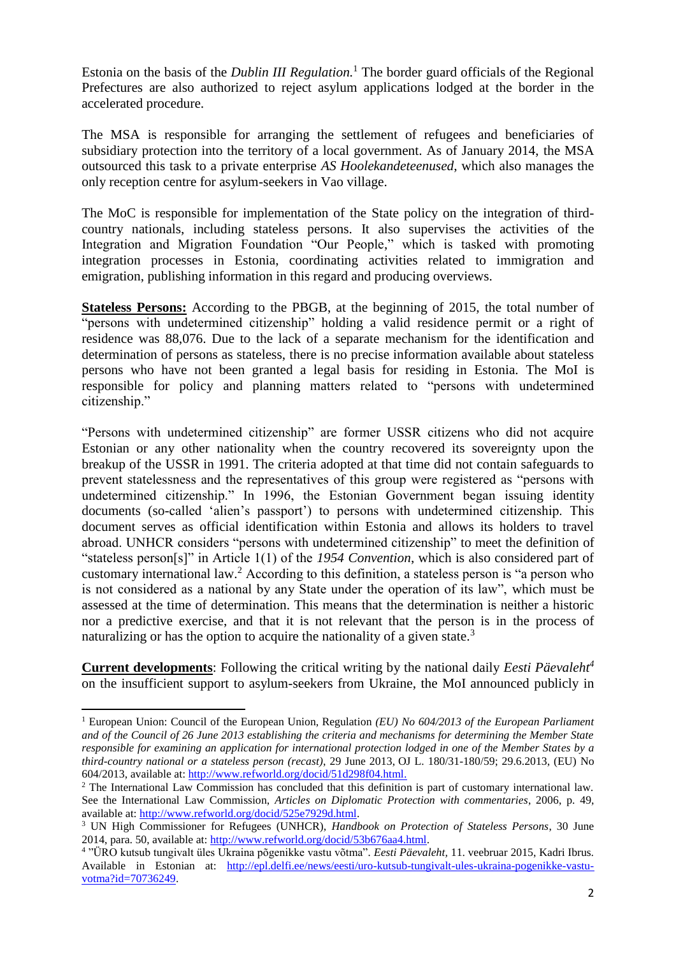Estonia on the basis of the *Dublin III Regulation.* <sup>1</sup> The border guard officials of the Regional Prefectures are also authorized to reject asylum applications lodged at the border in the accelerated procedure.

The MSA is responsible for arranging the settlement of refugees and beneficiaries of subsidiary protection into the territory of a local government. As of January 2014, the MSA outsourced this task to a private enterprise *AS Hoolekandeteenused*, which also manages the only reception centre for asylum-seekers in Vao village.

The MoC is responsible for implementation of the State policy on the integration of thirdcountry nationals, including stateless persons. It also supervises the activities of the Integration and Migration Foundation "Our People," which is tasked with promoting integration processes in Estonia, coordinating activities related to immigration and emigration, publishing information in this regard and producing overviews.

**Stateless Persons:** According to the PBGB, at the beginning of 2015, the total number of "persons with undetermined citizenship" holding a valid residence permit or a right of residence was 88,076. Due to the lack of a separate mechanism for the identification and determination of persons as stateless, there is no precise information available about stateless persons who have not been granted a legal basis for residing in Estonia. The MoI is responsible for policy and planning matters related to "persons with undetermined citizenship."

"Persons with undetermined citizenship" are former USSR citizens who did not acquire Estonian or any other nationality when the country recovered its sovereignty upon the breakup of the USSR in 1991. The criteria adopted at that time did not contain safeguards to prevent statelessness and the representatives of this group were registered as "persons with undetermined citizenship." In 1996, the Estonian Government began issuing identity documents (so-called 'alien's passport') to persons with undetermined citizenship. This document serves as official identification within Estonia and allows its holders to travel abroad. UNHCR considers "persons with undetermined citizenship" to meet the definition of "stateless person[s]" in Article 1(1) of the *1954 Convention*, which is also considered part of customary international law. <sup>2</sup> According to this definition, a stateless person is "a person who is not considered as a national by any State under the operation of its law", which must be assessed at the time of determination. This means that the determination is neither a historic nor a predictive exercise, and that it is not relevant that the person is in the process of naturalizing or has the option to acquire the nationality of a given state.<sup>3</sup>

**Current developments**: Following the critical writing by the national daily *Eesti Päevaleht<sup>4</sup>* on the insufficient support to asylum-seekers from Ukraine, the MoI announced publicly in

1

<sup>1</sup> European Union: Council of the European Union, Regulation *(EU) No 604/2013 of the European Parliament and of the Council of 26 June 2013 establishing the criteria and mechanisms for determining the Member State responsible for examining an application for international protection lodged in one of the Member States by a third-country national or a stateless person (recast)*, 29 June 2013, OJ L. 180/31-180/59; 29.6.2013, (EU) No 604/2013, available at: [http://www.refworld.org/docid/51d298f04.html.](http://www.refworld.org/docid/51d298f04.html)

<sup>&</sup>lt;sup>2</sup> The International Law Commission has concluded that this definition is part of customary international law. See the International Law Commission, *Articles on Diplomatic Protection with commentaries*, 2006, p. 49, available at: [http://www.refworld.org/docid/525e7929d.html.](http://www.refworld.org/docid/525e7929d.html)

<sup>3</sup> UN High Commissioner for Refugees (UNHCR), *Handbook on Protection of Stateless Persons*, 30 June 2014, para. 50, available at: [http://www.refworld.org/docid/53b676aa4.html.](http://www.refworld.org/docid/53b676aa4.html)

<sup>4</sup> "ÜRO kutsub tungivalt üles Ukraina põgenikke vastu võtma"*. Eesti Päevaleht,* 11. veebruar 2015, Kadri Ibrus. Available in Estonian at: [http://epl.delfi.ee/news/eesti/uro-kutsub-tungivalt-ules-ukraina-pogenikke-vastu](http://epl.delfi.ee/news/eesti/uro-kutsub-tungivalt-ules-ukraina-pogenikke-vastu-votma?id=70736249)[votma?id=70736249.](http://epl.delfi.ee/news/eesti/uro-kutsub-tungivalt-ules-ukraina-pogenikke-vastu-votma?id=70736249)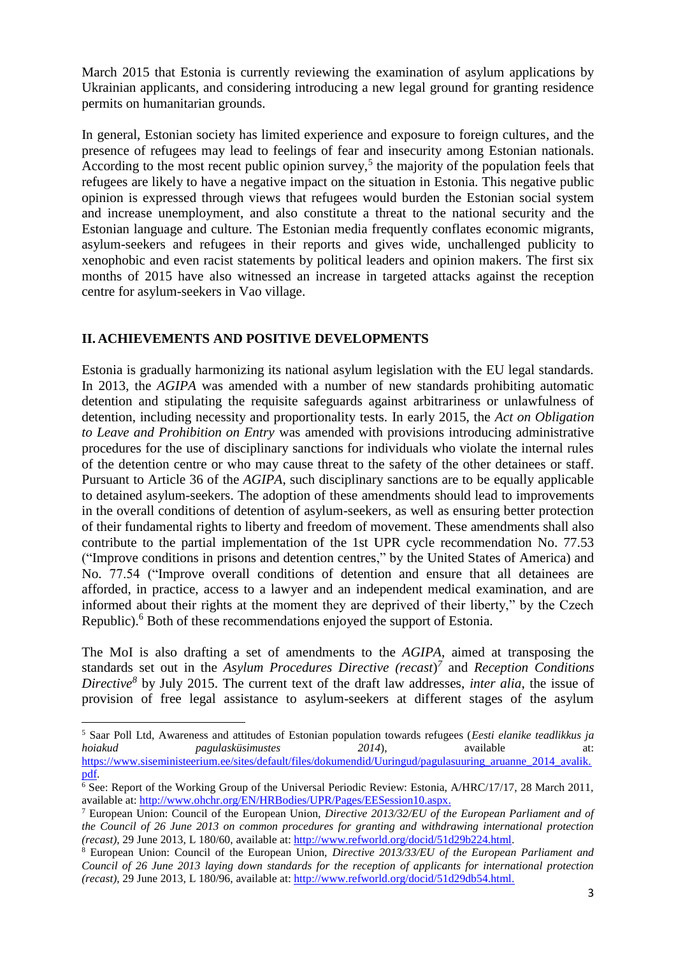March 2015 that Estonia is currently reviewing the examination of asylum applications by Ukrainian applicants, and considering introducing a new legal ground for granting residence permits on humanitarian grounds.

In general, Estonian society has limited experience and exposure to foreign cultures, and the presence of refugees may lead to feelings of fear and insecurity among Estonian nationals. According to the most recent public opinion survey,<sup>5</sup> the majority of the population feels that refugees are likely to have a negative impact on the situation in Estonia. This negative public opinion is expressed through views that refugees would burden the Estonian social system and increase unemployment, and also constitute a threat to the national security and the Estonian language and culture. The Estonian media frequently conflates economic migrants, asylum-seekers and refugees in their reports and gives wide, unchallenged publicity to xenophobic and even racist statements by political leaders and opinion makers. The first six months of 2015 have also witnessed an increase in targeted attacks against the reception centre for asylum-seekers in Vao village.

## **II. ACHIEVEMENTS AND POSITIVE DEVELOPMENTS**

**.** 

Estonia is gradually harmonizing its national asylum legislation with the EU legal standards. In 2013, the *AGIPA* was amended with a number of new standards prohibiting automatic detention and stipulating the requisite safeguards against arbitrariness or unlawfulness of detention, including necessity and proportionality tests. In early 2015, the *Act on Obligation to Leave and Prohibition on Entry* was amended with provisions introducing administrative procedures for the use of disciplinary sanctions for individuals who violate the internal rules of the detention centre or who may cause threat to the safety of the other detainees or staff. Pursuant to Article 36 of the *AGIPA*, such disciplinary sanctions are to be equally applicable to detained asylum-seekers. The adoption of these amendments should lead to improvements in the overall conditions of detention of asylum-seekers, as well as ensuring better protection of their fundamental rights to liberty and freedom of movement. These amendments shall also contribute to the partial implementation of the 1st UPR cycle recommendation No. 77.53 ("Improve conditions in prisons and detention centres," by the United States of America) and No. 77.54 ("Improve overall conditions of detention and ensure that all detainees are afforded, in practice, access to a lawyer and an independent medical examination, and are informed about their rights at the moment they are deprived of their liberty," by the Czech Republic).<sup>6</sup> Both of these recommendations enjoyed the support of Estonia.

The MoI is also drafting a set of amendments to the *AGIPA*, aimed at transposing the standards set out in the *Asylum Procedures Directive (recast*) *7* and *Reception Conditions Directive<sup>8</sup>* by July 2015. The current text of the draft law addresses, *inter alia*, the issue of provision of free legal assistance to asylum-seekers at different stages of the asylum

<sup>5</sup> Saar Poll Ltd, Awareness and attitudes of Estonian population towards refugees (*Eesti elanike teadlikkus ja hoiakud pagulasküsimustes 2014*), available at: [https://www.siseministeerium.ee/sites/default/files/dokumendid/Uuringud/pagulasuuring\\_aruanne\\_2014\\_avalik.](https://www.siseministeerium.ee/sites/default/files/dokumendid/Uuringud/pagulasuuring_aruanne_2014_avalik.pdf) [pdf.](https://www.siseministeerium.ee/sites/default/files/dokumendid/Uuringud/pagulasuuring_aruanne_2014_avalik.pdf) 

 $\overline{6}$  See: Report of the Working Group of the Universal Periodic Review: Estonia, A/HRC/17/17, 28 March 2011, available at: [http://www.ohchr.org/EN/HRBodies/UPR/Pages/EESession10.aspx.](http://www.ohchr.org/EN/HRBodies/UPR/Pages/EESession10.aspx)

<sup>7</sup> European Union: Council of the European Union, *Directive 2013/32/EU of the European Parliament and of the Council of 26 June 2013 on common procedures for granting and withdrawing international protection (recast)*, 29 June 2013, L 180/60, available at: [http://www.refworld.org/docid/51d29b224.html.](http://www.refworld.org/docid/51d29b224.html)

<sup>8</sup> European Union: Council of the European Union, *Directive 2013/33/EU of the European Parliament and Council of 26 June 2013 laying down standards for the reception of applicants for international protection (recast)*, 29 June 2013, L 180/96, available at: [http://www.refworld.org/docid/51d29db54.html.](http://www.refworld.org/docid/51d29db54.html)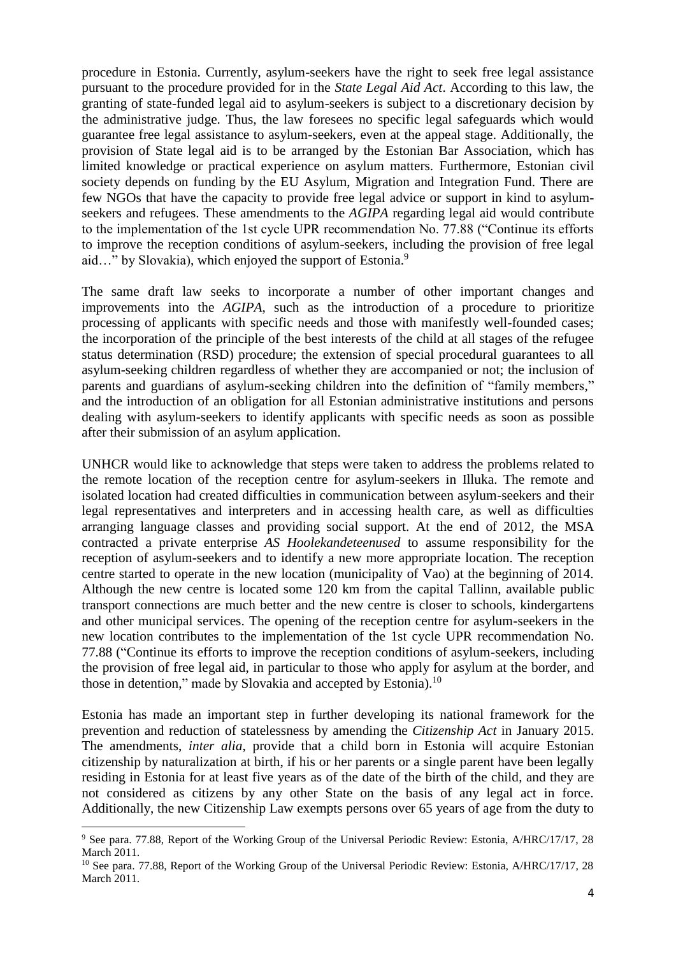procedure in Estonia. Currently, asylum-seekers have the right to seek free legal assistance pursuant to the procedure provided for in the *State Legal Aid Act*. According to this law, the granting of state-funded legal aid to asylum-seekers is subject to a discretionary decision by the administrative judge. Thus, the law foresees no specific legal safeguards which would guarantee free legal assistance to asylum-seekers, even at the appeal stage. Additionally, the provision of State legal aid is to be arranged by the Estonian Bar Association, which has limited knowledge or practical experience on asylum matters. Furthermore, Estonian civil society depends on funding by the EU Asylum, Migration and Integration Fund. There are few NGOs that have the capacity to provide free legal advice or support in kind to asylumseekers and refugees. These amendments to the *AGIPA* regarding legal aid would contribute to the implementation of the 1st cycle UPR recommendation No. 77.88 ("Continue its efforts to improve the reception conditions of asylum-seekers, including the provision of free legal aid..." by Slovakia), which enjoyed the support of Estonia.<sup>9</sup>

The same draft law seeks to incorporate a number of other important changes and improvements into the *AGIPA*, such as the introduction of a procedure to prioritize processing of applicants with specific needs and those with manifestly well-founded cases; the incorporation of the principle of the best interests of the child at all stages of the refugee status determination (RSD) procedure; the extension of special procedural guarantees to all asylum-seeking children regardless of whether they are accompanied or not; the inclusion of parents and guardians of asylum-seeking children into the definition of "family members," and the introduction of an obligation for all Estonian administrative institutions and persons dealing with asylum-seekers to identify applicants with specific needs as soon as possible after their submission of an asylum application.

UNHCR would like to acknowledge that steps were taken to address the problems related to the remote location of the reception centre for asylum-seekers in Illuka. The remote and isolated location had created difficulties in communication between asylum-seekers and their legal representatives and interpreters and in accessing health care, as well as difficulties arranging language classes and providing social support. At the end of 2012, the MSA contracted a private enterprise *AS Hoolekandeteenused* to assume responsibility for the reception of asylum-seekers and to identify a new more appropriate location. The reception centre started to operate in the new location (municipality of Vao) at the beginning of 2014. Although the new centre is located some 120 km from the capital Tallinn, available public transport connections are much better and the new centre is closer to schools, kindergartens and other municipal services. The opening of the reception centre for asylum-seekers in the new location contributes to the implementation of the 1st cycle UPR recommendation No. 77.88 ("Continue its efforts to improve the reception conditions of asylum-seekers, including the provision of free legal aid, in particular to those who apply for asylum at the border, and those in detention," made by Slovakia and accepted by Estonia).<sup>10</sup>

Estonia has made an important step in further developing its national framework for the prevention and reduction of statelessness by amending the *Citizenship Act* in January 2015. The amendments, *inter alia*, provide that a child born in Estonia will acquire Estonian citizenship by naturalization at birth, if his or her parents or a single parent have been legally residing in Estonia for at least five years as of the date of the birth of the child, and they are not considered as citizens by any other State on the basis of any legal act in force. Additionally, the new Citizenship Law exempts persons over 65 years of age from the duty to

**.** 

<sup>9</sup> See para. 77.88, Report of the Working Group of the Universal Periodic Review: Estonia, A/HRC/17/17, 28 March 2011.

<sup>&</sup>lt;sup>10</sup> See para. 77.88, Report of the Working Group of the Universal Periodic Review: Estonia, A/HRC/17/17, 28 March 2011.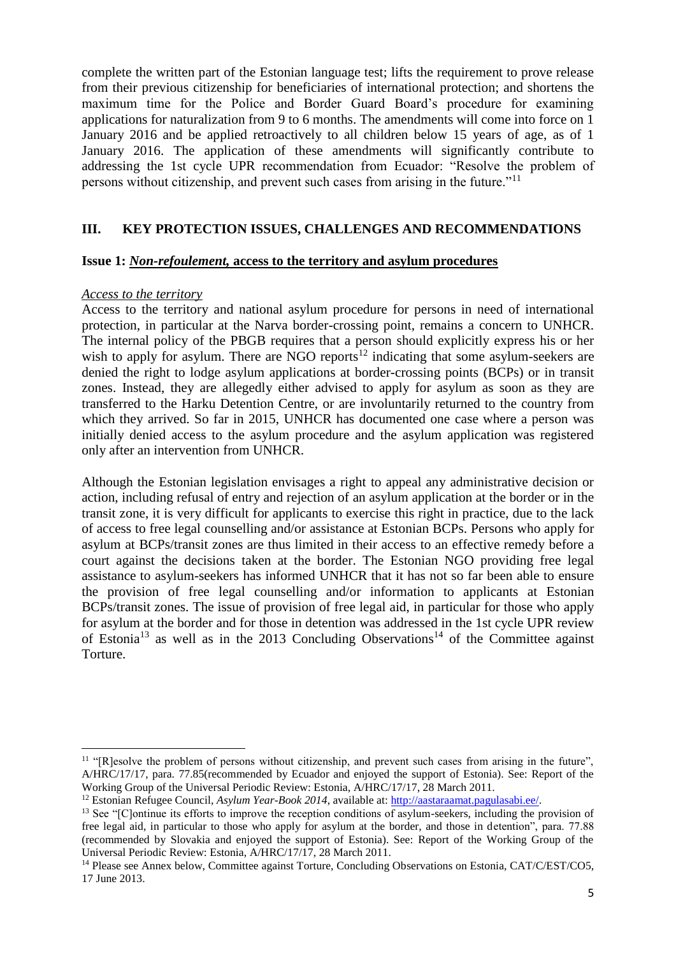complete the written part of the Estonian language test; lifts the requirement to prove release from their previous citizenship for beneficiaries of international protection; and shortens the maximum time for the Police and Border Guard Board's procedure for examining applications for naturalization from 9 to 6 months. The amendments will come into force on 1 January 2016 and be applied retroactively to all children below 15 years of age, as of 1 January 2016. The application of these amendments will significantly contribute to addressing the 1st cycle UPR recommendation from Ecuador: "Resolve the problem of persons without citizenship, and prevent such cases from arising in the future."<sup>11</sup>

### **III. KEY PROTECTION ISSUES, CHALLENGES AND RECOMMENDATIONS**

#### **Issue 1:** *Non-refoulement,* **access to the territory and asylum procedures**

#### *Access to the territory*

**.** 

Access to the territory and national asylum procedure for persons in need of international protection, in particular at the Narva border-crossing point, remains a concern to UNHCR. The internal policy of the PBGB requires that a person should explicitly express his or her wish to apply for asylum. There are NGO reports<sup>12</sup> indicating that some asylum-seekers are denied the right to lodge asylum applications at border-crossing points (BCPs) or in transit zones. Instead, they are allegedly either advised to apply for asylum as soon as they are transferred to the Harku Detention Centre, or are involuntarily returned to the country from which they arrived. So far in 2015, UNHCR has documented one case where a person was initially denied access to the asylum procedure and the asylum application was registered only after an intervention from UNHCR.

Although the Estonian legislation envisages a right to appeal any administrative decision or action, including refusal of entry and rejection of an asylum application at the border or in the transit zone, it is very difficult for applicants to exercise this right in practice, due to the lack of access to free legal counselling and/or assistance at Estonian BCPs. Persons who apply for asylum at BCPs/transit zones are thus limited in their access to an effective remedy before a court against the decisions taken at the border. The Estonian NGO providing free legal assistance to asylum-seekers has informed UNHCR that it has not so far been able to ensure the provision of free legal counselling and/or information to applicants at Estonian BCPs/transit zones. The issue of provision of free legal aid, in particular for those who apply for asylum at the border and for those in detention was addressed in the 1st cycle UPR review of Estonia<sup>13</sup> as well as in the 2013 Concluding Observations<sup>14</sup> of the Committee against Torture.

<sup>&</sup>lt;sup>11</sup> "[R]esolve the problem of persons without citizenship, and prevent such cases from arising in the future", A/HRC/17/17, para. 77.85(recommended by Ecuador and enjoyed the support of Estonia). See: Report of the Working Group of the Universal Periodic Review: Estonia, A/HRC/17/17, 28 March 2011.

<sup>&</sup>lt;sup>12</sup> Estonian Refugee Council, *Asylum Year-Book 2014*, available at: [http://aastaraamat.pagulasabi.ee/.](http://aastaraamat.pagulasabi.ee/)

<sup>&</sup>lt;sup>13</sup> See "[C]ontinue its efforts to improve the reception conditions of asylum-seekers, including the provision of free legal aid, in particular to those who apply for asylum at the border, and those in detention", para. 77.88 (recommended by Slovakia and enjoyed the support of Estonia). See: Report of the Working Group of the Universal Periodic Review: Estonia, A/HRC/17/17, 28 March 2011.

<sup>&</sup>lt;sup>14</sup> Please see Annex below, Committee against Torture, Concluding Observations on Estonia, CAT/C/EST/CO5, 17 June 2013.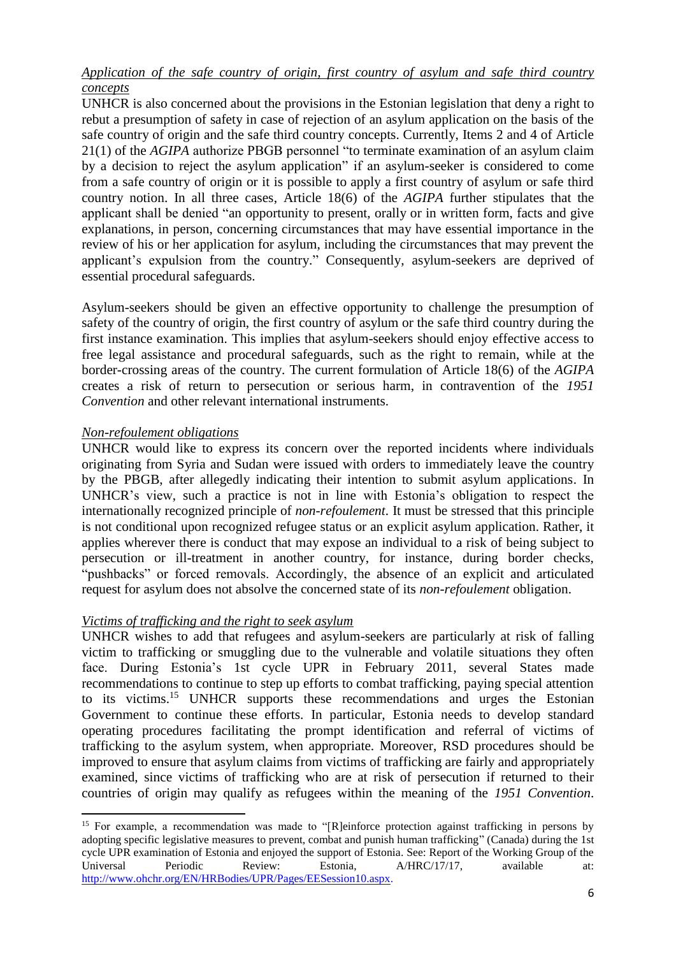## *Application of the safe country of origin, first country of asylum and safe third country concepts*

UNHCR is also concerned about the provisions in the Estonian legislation that deny a right to rebut a presumption of safety in case of rejection of an asylum application on the basis of the safe country of origin and the safe third country concepts. Currently, Items 2 and 4 of Article 21(1) of the *AGIPA* authorize PBGB personnel "to terminate examination of an asylum claim by a decision to reject the asylum application" if an asylum-seeker is considered to come from a safe country of origin or it is possible to apply a first country of asylum or safe third country notion. In all three cases, Article 18(6) of the *AGIPA* further stipulates that the applicant shall be denied "an opportunity to present, orally or in written form, facts and give explanations, in person, concerning circumstances that may have essential importance in the review of his or her application for asylum, including the circumstances that may prevent the applicant's expulsion from the country." Consequently, asylum-seekers are deprived of essential procedural safeguards.

Asylum-seekers should be given an effective opportunity to challenge the presumption of safety of the country of origin, the first country of asylum or the safe third country during the first instance examination. This implies that asylum-seekers should enjoy effective access to free legal assistance and procedural safeguards, such as the right to remain, while at the border-crossing areas of the country. The current formulation of Article 18(6) of the *AGIPA* creates a risk of return to persecution or serious harm, in contravention of the *1951 Convention* and other relevant international instruments.

### *Non-refoulement obligations*

**.** 

UNHCR would like to express its concern over the reported incidents where individuals originating from Syria and Sudan were issued with orders to immediately leave the country by the PBGB, after allegedly indicating their intention to submit asylum applications. In UNHCR's view, such a practice is not in line with Estonia's obligation to respect the internationally recognized principle of *non-refoulement*. It must be stressed that this principle is not conditional upon recognized refugee status or an explicit asylum application. Rather, it applies wherever there is conduct that may expose an individual to a risk of being subject to persecution or ill-treatment in another country, for instance, during border checks, "pushbacks" or forced removals. Accordingly, the absence of an explicit and articulated request for asylum does not absolve the concerned state of its *non-refoulement* obligation.

## *Victims of trafficking and the right to seek asylum*

UNHCR wishes to add that refugees and asylum-seekers are particularly at risk of falling victim to trafficking or smuggling due to the vulnerable and volatile situations they often face. During Estonia's 1st cycle UPR in February 2011, several States made recommendations to continue to step up efforts to combat trafficking, paying special attention to its victims. <sup>15</sup> UNHCR supports these recommendations and urges the Estonian Government to continue these efforts. In particular, Estonia needs to develop standard operating procedures facilitating the prompt identification and referral of victims of trafficking to the asylum system, when appropriate. Moreover, RSD procedures should be improved to ensure that asylum claims from victims of trafficking are fairly and appropriately examined, since victims of trafficking who are at risk of persecution if returned to their countries of origin may qualify as refugees within the meaning of the *1951 Convention*.

<sup>&</sup>lt;sup>15</sup> For example, a recommendation was made to "[R]einforce protection against trafficking in persons by adopting specific legislative measures to prevent, combat and punish human trafficking" (Canada) during the 1st cycle UPR examination of Estonia and enjoyed the support of Estonia. See: Report of the Working Group of the Universal Periodic Review: Estonia, A/HRC/17/17, available at: [http://www.ohchr.org/EN/HRBodies/UPR/Pages/EESession10.aspx.](http://www.ohchr.org/EN/HRBodies/UPR/Pages/EESession10.aspx)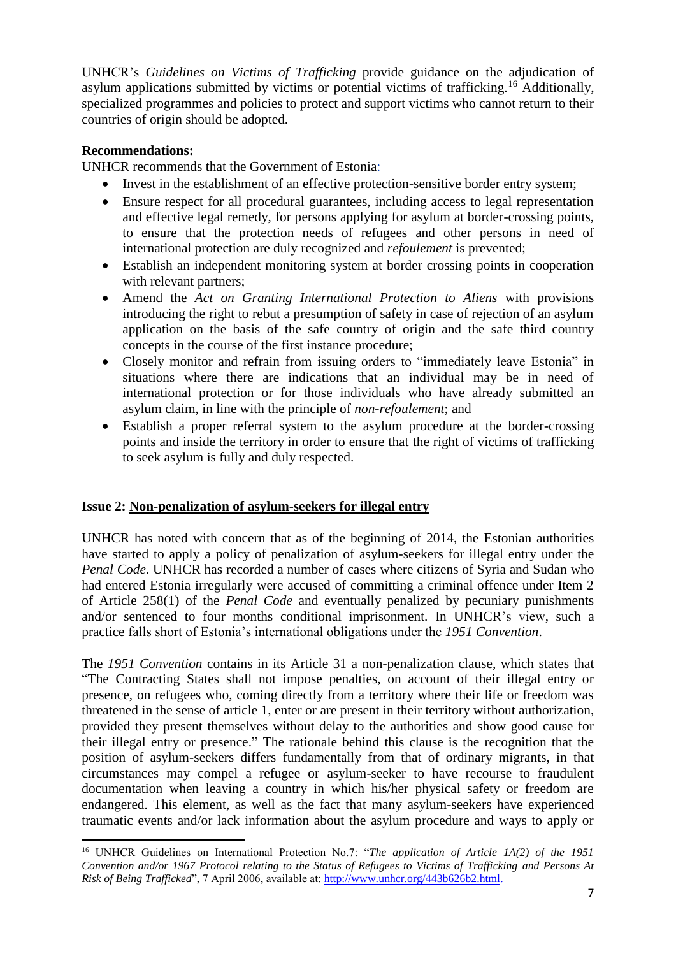UNHCR's *Guidelines on Victims of Trafficking* provide guidance on the adjudication of asylum applications submitted by victims or potential victims of trafficking.<sup>16</sup> Additionally, specialized programmes and policies to protect and support victims who cannot return to their countries of origin should be adopted.

## **Recommendations:**

UNHCR recommends that the Government of Estonia:

- Invest in the establishment of an effective protection-sensitive border entry system;
- Ensure respect for all procedural guarantees, including access to legal representation and effective legal remedy, for persons applying for asylum at border-crossing points, to ensure that the protection needs of refugees and other persons in need of international protection are duly recognized and *refoulement* is prevented;
- Establish an independent monitoring system at border crossing points in cooperation with relevant partners;
- Amend the *Act on Granting International Protection to Aliens* with provisions introducing the right to rebut a presumption of safety in case of rejection of an asylum application on the basis of the safe country of origin and the safe third country concepts in the course of the first instance procedure;
- Closely monitor and refrain from issuing orders to "immediately leave Estonia" in situations where there are indications that an individual may be in need of international protection or for those individuals who have already submitted an asylum claim, in line with the principle of *non-refoulement*; and
- Establish a proper referral system to the asylum procedure at the border-crossing points and inside the territory in order to ensure that the right of victims of trafficking to seek asylum is fully and duly respected.

## **Issue 2: Non-penalization of asylum-seekers for illegal entry**

UNHCR has noted with concern that as of the beginning of 2014, the Estonian authorities have started to apply a policy of penalization of asylum-seekers for illegal entry under the *Penal Code*. UNHCR has recorded a number of cases where citizens of Syria and Sudan who had entered Estonia irregularly were accused of committing a criminal offence under Item 2 of Article 258(1) of the *Penal Code* and eventually penalized by pecuniary punishments and/or sentenced to four months conditional imprisonment. In UNHCR's view, such a practice falls short of Estonia's international obligations under the *1951 Convention*.

The *1951 Convention* contains in its Article 31 a non-penalization clause, which states that "The Contracting States shall not impose penalties, on account of their illegal entry or presence, on refugees who, coming directly from a territory where their life or freedom was threatened in the sense of article 1, enter or are present in their territory without authorization, provided they present themselves without delay to the authorities and show good cause for their illegal entry or presence." The rationale behind this clause is the recognition that the position of asylum-seekers differs fundamentally from that of ordinary migrants, in that circumstances may compel a refugee or asylum-seeker to have recourse to fraudulent documentation when leaving a country in which his/her physical safety or freedom are endangered. This element, as well as the fact that many asylum-seekers have experienced traumatic events and/or lack information about the asylum procedure and ways to apply or

 $\overline{a}$ <sup>16</sup> UNHCR Guidelines on International Protection No.7: "*The application of Article 1A(2) of the 1951 Convention and/or 1967 Protocol relating to the Status of Refugees to Victims of Trafficking and Persons At Risk of Being Trafficked*", 7 April 2006, available at: [http://www.unhcr.org/443b626b2.html.](http://www.unhcr.org/443b626b2.html)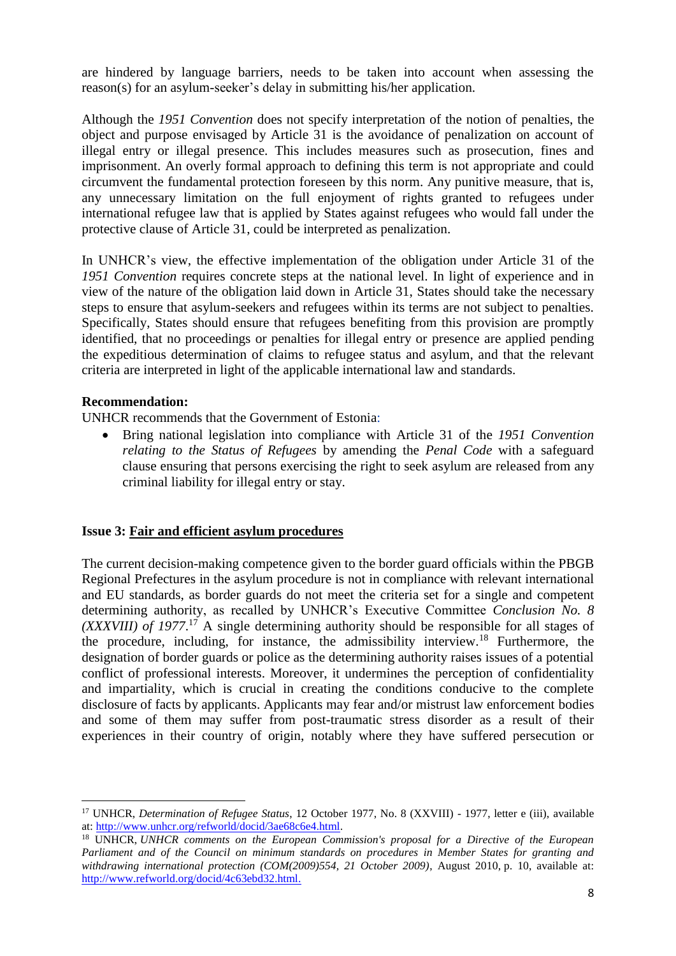are hindered by language barriers, needs to be taken into account when assessing the reason(s) for an asylum-seeker's delay in submitting his/her application.

Although the *1951 Convention* does not specify interpretation of the notion of penalties, the object and purpose envisaged by Article 31 is the avoidance of penalization on account of illegal entry or illegal presence. This includes measures such as prosecution, fines and imprisonment. An overly formal approach to defining this term is not appropriate and could circumvent the fundamental protection foreseen by this norm. Any punitive measure, that is, any unnecessary limitation on the full enjoyment of rights granted to refugees under international refugee law that is applied by States against refugees who would fall under the protective clause of Article 31, could be interpreted as penalization.

In UNHCR's view, the effective implementation of the obligation under Article 31 of the *1951 Convention* requires concrete steps at the national level. In light of experience and in view of the nature of the obligation laid down in Article 31, States should take the necessary steps to ensure that asylum-seekers and refugees within its terms are not subject to penalties. Specifically, States should ensure that refugees benefiting from this provision are promptly identified, that no proceedings or penalties for illegal entry or presence are applied pending the expeditious determination of claims to refugee status and asylum, and that the relevant criteria are interpreted in light of the applicable international law and standards.

### **Recommendation:**

1

UNHCR recommends that the Government of Estonia:

 Bring national legislation into compliance with Article 31 of the *1951 Convention relating to the Status of Refugees* by amending the *Penal Code* with a safeguard clause ensuring that persons exercising the right to seek asylum are released from any criminal liability for illegal entry or stay.

## **Issue 3: Fair and efficient asylum procedures**

The current decision-making competence given to the border guard officials within the PBGB Regional Prefectures in the asylum procedure is not in compliance with relevant international and EU standards, as border guards do not meet the criteria set for a single and competent determining authority, as recalled by UNHCR's Executive Committee *Conclusion No. 8 (XXXVIII) of 1977*. <sup>17</sup> A single determining authority should be responsible for all stages of the procedure, including, for instance, the admissibility interview.<sup>18</sup> Furthermore, the designation of border guards or police as the determining authority raises issues of a potential conflict of professional interests. Moreover, it undermines the perception of confidentiality and impartiality, which is crucial in creating the conditions conducive to the complete disclosure of facts by applicants. Applicants may fear and/or mistrust law enforcement bodies and some of them may suffer from post-traumatic stress disorder as a result of their experiences in their country of origin, notably where they have suffered persecution or

<sup>&</sup>lt;sup>17</sup> UNHCR, *Determination of Refugee Status*, 12 October 1977, No. 8 (XXVIII) - 1977, letter e (iii), available at: [http://www.unhcr.org/refworld/docid/3ae68c6e4.html.](http://www.unhcr.org/refworld/docid/3ae68c6e4.html)

<sup>18</sup> UNHCR, *UNHCR comments on the European Commission's proposal for a Directive of the European Parliament and of the Council on minimum standards on procedures in Member States for granting and*  withdrawing international protection (COM(2009)554, 21 October 2009), August 2010, p. 10, available at: [http://www.refworld.org/docid/4c63ebd32.html.](http://www.refworld.org/docid/4c63ebd32.html)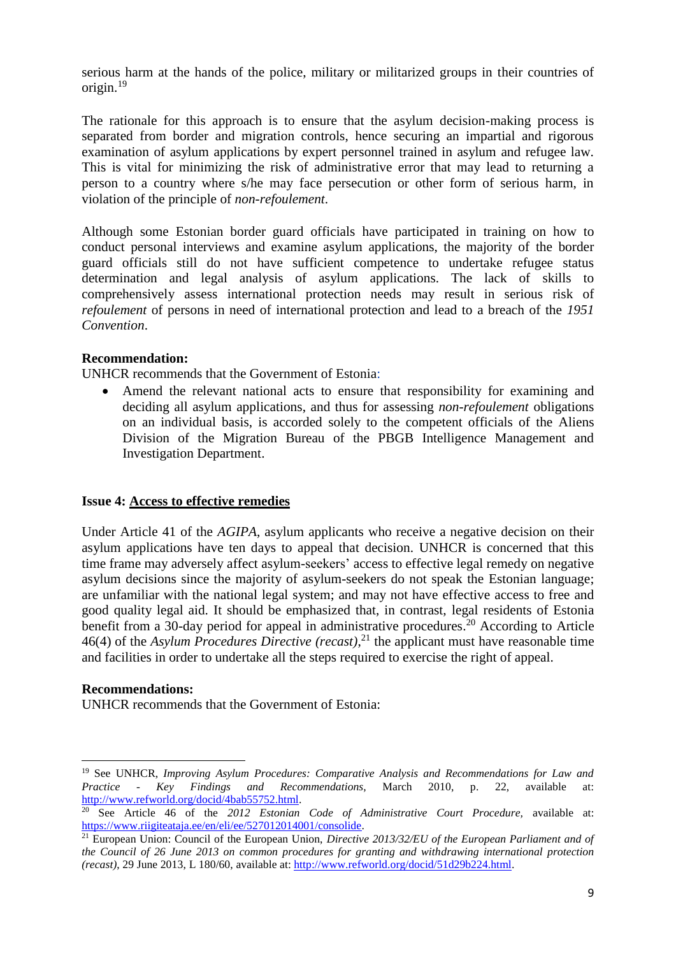serious harm at the hands of the police, military or militarized groups in their countries of origin. 19

The rationale for this approach is to ensure that the asylum decision-making process is separated from border and migration controls, hence securing an impartial and rigorous examination of asylum applications by expert personnel trained in asylum and refugee law. This is vital for minimizing the risk of administrative error that may lead to returning a person to a country where s/he may face persecution or other form of serious harm, in violation of the principle of *non-refoulement*.

Although some Estonian border guard officials have participated in training on how to conduct personal interviews and examine asylum applications, the majority of the border guard officials still do not have sufficient competence to undertake refugee status determination and legal analysis of asylum applications. The lack of skills to comprehensively assess international protection needs may result in serious risk of *refoulement* of persons in need of international protection and lead to a breach of the *1951 Convention*.

## **Recommendation:**

UNHCR recommends that the Government of Estonia:

 Amend the relevant national acts to ensure that responsibility for examining and deciding all asylum applications, and thus for assessing *non-refoulement* obligations on an individual basis, is accorded solely to the competent officials of the Aliens Division of the Migration Bureau of the PBGB Intelligence Management and Investigation Department.

#### **Issue 4: Access to effective remedies**

Under Article 41 of the *AGIPA*, asylum applicants who receive a negative decision on their asylum applications have ten days to appeal that decision. UNHCR is concerned that this time frame may adversely affect asylum-seekers' access to effective legal remedy on negative asylum decisions since the majority of asylum-seekers do not speak the Estonian language; are unfamiliar with the national legal system; and may not have effective access to free and good quality legal aid. It should be emphasized that, in contrast, legal residents of Estonia benefit from a 30-day period for appeal in administrative procedures.<sup>20</sup> According to Article 46(4) of the *Asylum Procedures Directive (recast)*, <sup>21</sup> the applicant must have reasonable time and facilities in order to undertake all the steps required to exercise the right of appeal.

#### **Recommendations:**

 $\overline{a}$ 

UNHCR recommends that the Government of Estonia:

<sup>19</sup> See UNHCR, *Improving Asylum Procedures: Comparative Analysis and Recommendations for Law and Practice - Key Findings and Recommendations*, March 2010, p. 22, available at: [http://www.refworld.org/docid/4bab55752.html.](http://www.refworld.org/docid/4bab55752.html) 

<sup>20</sup> See Article 46 of the *2012 Estonian Code of Administrative Court Procedure,* available at: [https://www.riigiteataja.ee/en/eli/ee/527012014001/consolide.](https://www.riigiteataja.ee/en/eli/ee/527012014001/consolide)

<sup>21</sup> European Union: Council of the European Union, *Directive 2013/32/EU of the European Parliament and of the Council of 26 June 2013 on common procedures for granting and withdrawing international protection (recast)*, 29 June 2013, L 180/60, available at: [http://www.refworld.org/docid/51d29b224.html.](http://www.refworld.org/docid/51d29b224.html)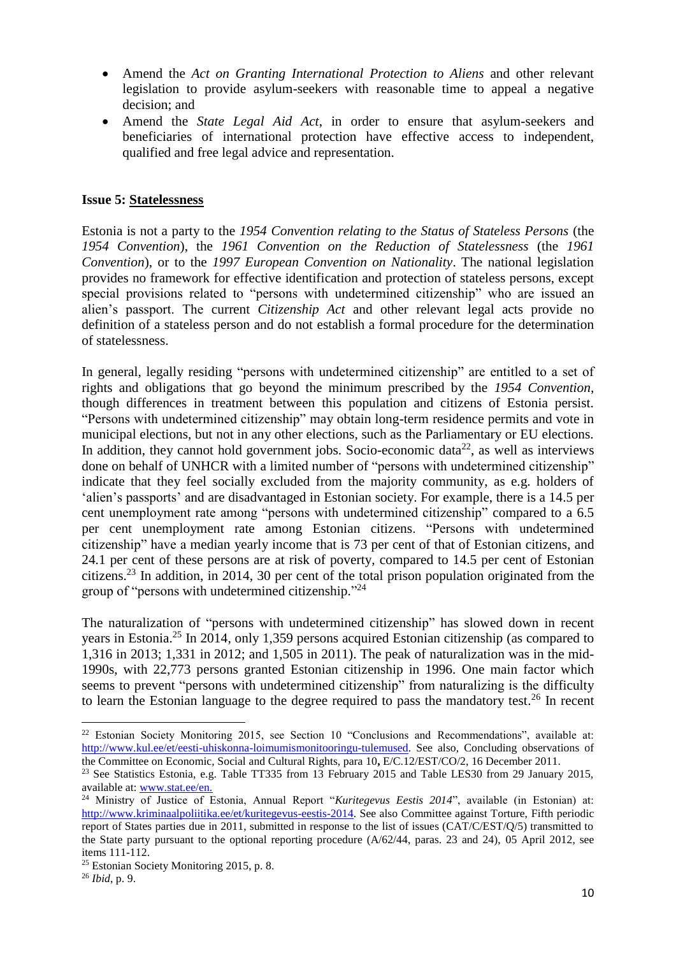- Amend the *Act on Granting International Protection to Aliens* and other relevant legislation to provide asylum-seekers with reasonable time to appeal a negative decision; and
- Amend the *State Legal Aid Act*, in order to ensure that asylum-seekers and beneficiaries of international protection have effective access to independent, qualified and free legal advice and representation.

### **Issue 5: Statelessness**

Estonia is not a party to the *1954 Convention relating to the Status of Stateless Persons* (the *1954 Convention*), the *1961 Convention on the Reduction of Statelessness* (the *1961 Convention*), or to the *1997 European Convention on Nationality*. The national legislation provides no framework for effective identification and protection of stateless persons, except special provisions related to "persons with undetermined citizenship" who are issued an alien's passport. The current *Citizenship Act* and other relevant legal acts provide no definition of a stateless person and do not establish a formal procedure for the determination of statelessness.

In general, legally residing "persons with undetermined citizenship" are entitled to a set of rights and obligations that go beyond the minimum prescribed by the *1954 Convention,* though differences in treatment between this population and citizens of Estonia persist. "Persons with undetermined citizenship" may obtain long-term residence permits and vote in municipal elections, but not in any other elections, such as the Parliamentary or EU elections. In addition, they cannot hold government jobs. Socio-economic data<sup>22</sup>, as well as interviews done on behalf of UNHCR with a limited number of "persons with undetermined citizenship" indicate that they feel socially excluded from the majority community, as e.g. holders of 'alien's passports' and are disadvantaged in Estonian society. For example, there is a 14.5 per cent unemployment rate among "persons with undetermined citizenship" compared to a 6.5 per cent unemployment rate among Estonian citizens. "Persons with undetermined citizenship" have a median yearly income that is 73 per cent of that of Estonian citizens, and 24.1 per cent of these persons are at risk of poverty, compared to 14.5 per cent of Estonian citizens.<sup>23</sup> In addition, in 2014, 30 per cent of the total prison population originated from the group of "persons with undetermined citizenship." 24

The naturalization of "persons with undetermined citizenship" has slowed down in recent years in Estonia.<sup>25</sup> In 2014, only 1,359 persons acquired Estonian citizenship (as compared to 1,316 in 2013; 1,331 in 2012; and 1,505 in 2011). The peak of naturalization was in the mid-1990s, with 22,773 persons granted Estonian citizenship in 1996. One main factor which seems to prevent "persons with undetermined citizenship" from naturalizing is the difficulty to learn the Estonian language to the degree required to pass the mandatory test.<sup>26</sup> In recent

**.** 

<sup>&</sup>lt;sup>22</sup> Estonian Society Monitoring 2015, see Section 10 "Conclusions and Recommendations", available at: [http://www.kul.ee/et/eesti-uhiskonna-loimumismonitooringu-tulemused.](http://www.kul.ee/et/eesti-uhiskonna-loimumismonitooringu-tulemused) See also, Concluding observations of the Committee on Economic, Social and Cultural Rights, para 10**,** E/C.12/EST/CO/2, 16 December 2011.

<sup>&</sup>lt;sup>23</sup> See Statistics Estonia, e.g. Table TT335 from 13 February 2015 and Table LES30 from 29 January 2015, available at: [www.stat.ee/en.](http://www.stat.ee/en)

<sup>&</sup>lt;sup>24</sup> Ministry of Justice of Estonia, Annual Report "Kuritegevus Eestis 2014", available (in Estonian) at: [http://www.kriminaalpoliitika.ee/et/kuritegevus-eestis-2014.](http://www.kriminaalpoliitika.ee/et/kuritegevus-eestis-2014) See also Committee against Torture, Fifth periodic report of States parties due in 2011, submitted in response to the list of issues (CAT/C/EST/Q/5) transmitted to the State party pursuant to the optional reporting procedure (A/62/44, paras. 23 and 24), 05 April 2012, see items 111-112.

<sup>&</sup>lt;sup>25</sup> Estonian Society Monitoring 2015, p. 8.

<sup>26</sup> *Ibid*, p. 9.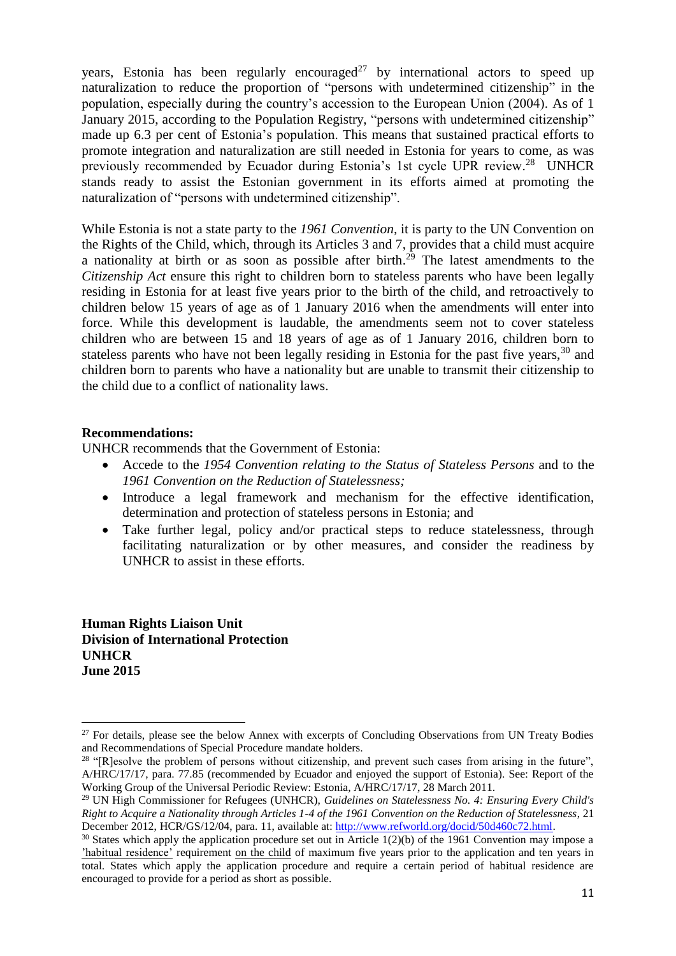years, Estonia has been regularly encouraged<sup>27</sup> by international actors to speed up naturalization to reduce the proportion of "persons with undetermined citizenship" in the population, especially during the country's accession to the European Union (2004). As of 1 January 2015, according to the Population Registry, "persons with undetermined citizenship" made up 6.3 per cent of Estonia's population. This means that sustained practical efforts to promote integration and naturalization are still needed in Estonia for years to come, as was previously recommended by Ecuador during Estonia's 1st cycle UPR review.<sup>28</sup> UNHCR stands ready to assist the Estonian government in its efforts aimed at promoting the naturalization of "persons with undetermined citizenship".

While Estonia is not a state party to the *1961 Convention,* it is party to the UN Convention on the Rights of the Child, which, through its Articles 3 and 7, provides that a child must acquire a nationality at birth or as soon as possible after birth.<sup>29</sup> The latest amendments to the *Citizenship Act* ensure this right to children born to stateless parents who have been legally residing in Estonia for at least five years prior to the birth of the child, and retroactively to children below 15 years of age as of 1 January 2016 when the amendments will enter into force. While this development is laudable, the amendments seem not to cover stateless children who are between 15 and 18 years of age as of 1 January 2016, children born to stateless parents who have not been legally residing in Estonia for the past five years,  $30$  and children born to parents who have a nationality but are unable to transmit their citizenship to the child due to a conflict of nationality laws.

### **Recommendations:**

UNHCR recommends that the Government of Estonia:

- Accede to the *1954 Convention relating to the Status of Stateless Persons* and to the *1961 Convention on the Reduction of Statelessness;*
- Introduce a legal framework and mechanism for the effective identification, determination and protection of stateless persons in Estonia; and
- Take further legal, policy and/or practical steps to reduce statelessness, through facilitating naturalization or by other measures, and consider the readiness by UNHCR to assist in these efforts.

**Human Rights Liaison Unit Division of International Protection UNHCR June 2015**

**<sup>.</sup>** <sup>27</sup> For details, please see the below Annex with excerpts of Concluding Observations from UN Treaty Bodies and Recommendations of Special Procedure mandate holders.

<sup>&</sup>lt;sup>28</sup> "[R]esolve the problem of persons without citizenship, and prevent such cases from arising in the future", A/HRC/17/17, para. 77.85 (recommended by Ecuador and enjoyed the support of Estonia). See: Report of the Working Group of the Universal Periodic Review: Estonia, A/HRC/17/17, 28 March 2011.

<sup>29</sup> UN High Commissioner for Refugees (UNHCR), *Guidelines on Statelessness No. 4: Ensuring Every Child's Right to Acquire a Nationality through Articles 1-4 of the 1961 Convention on the Reduction of Statelessness*, 21 December 2012, HCR/GS/12/04, para. 11, available at[: http://www.refworld.org/docid/50d460c72.html.](http://www.refworld.org/docid/50d460c72.html)

 $30$  States which apply the application procedure set out in Article 1(2)(b) of the 1961 Convention may impose a 'habitual residence' requirement on the child of maximum five years prior to the application and ten years in total. States which apply the application procedure and require a certain period of habitual residence are encouraged to provide for a period as short as possible.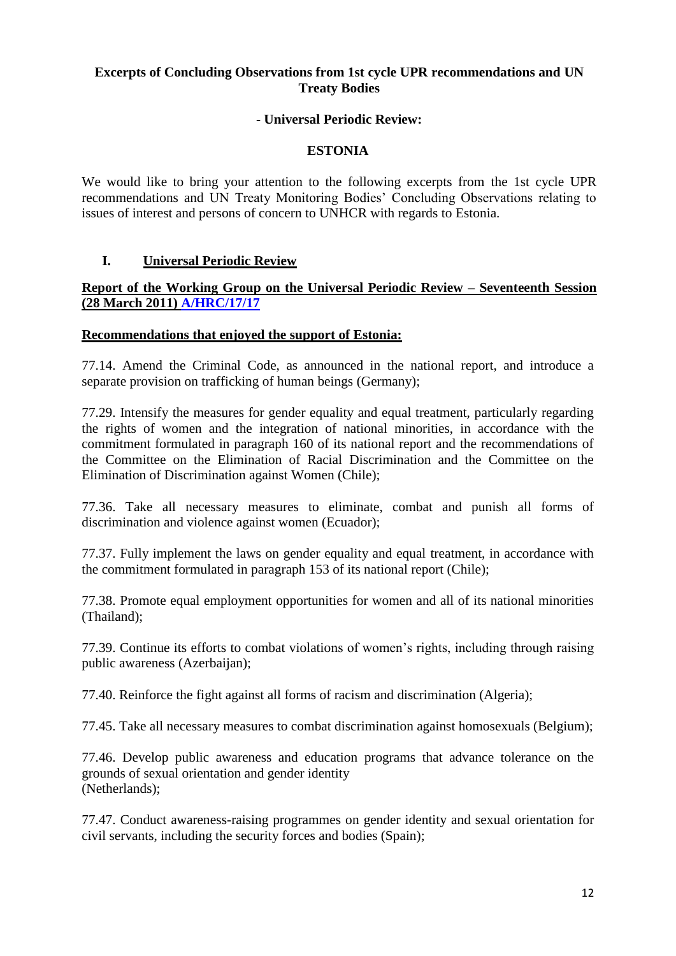## **Excerpts of Concluding Observations from 1st cycle UPR recommendations and UN Treaty Bodies**

### **- Universal Periodic Review:**

### **ESTONIA**

We would like to bring your attention to the following excerpts from the 1st cycle UPR recommendations and UN Treaty Monitoring Bodies' Concluding Observations relating to issues of interest and persons of concern to UNHCR with regards to Estonia.

### **I. Universal Periodic Review**

### **Report of the Working Group on the Universal Periodic Review – Seventeenth Session (28 March 2011) [A/HRC/17/17](http://daccess-dds-ny.un.org/doc/UNDOC/GEN/G11/123/58/PDF/G1112358.pdf?OpenElement)**

#### **Recommendations that enjoyed the support of Estonia:**

77.14. Amend the Criminal Code, as announced in the national report, and introduce a separate provision on trafficking of human beings (Germany);

77.29. Intensify the measures for gender equality and equal treatment, particularly regarding the rights of women and the integration of national minorities, in accordance with the commitment formulated in paragraph 160 of its national report and the recommendations of the Committee on the Elimination of Racial Discrimination and the Committee on the Elimination of Discrimination against Women (Chile);

77.36. Take all necessary measures to eliminate, combat and punish all forms of discrimination and violence against women (Ecuador);

77.37. Fully implement the laws on gender equality and equal treatment, in accordance with the commitment formulated in paragraph 153 of its national report (Chile);

77.38. Promote equal employment opportunities for women and all of its national minorities (Thailand);

77.39. Continue its efforts to combat violations of women's rights, including through raising public awareness (Azerbaijan);

77.40. Reinforce the fight against all forms of racism and discrimination (Algeria);

77.45. Take all necessary measures to combat discrimination against homosexuals (Belgium);

77.46. Develop public awareness and education programs that advance tolerance on the grounds of sexual orientation and gender identity (Netherlands);

77.47. Conduct awareness-raising programmes on gender identity and sexual orientation for civil servants, including the security forces and bodies (Spain);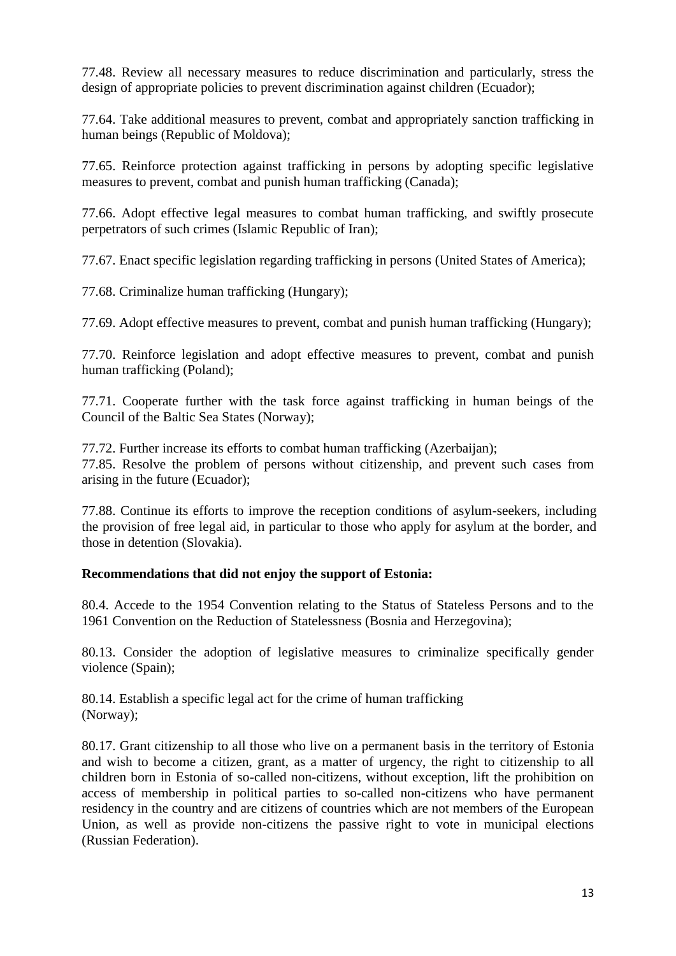77.48. Review all necessary measures to reduce discrimination and particularly, stress the design of appropriate policies to prevent discrimination against children (Ecuador);

77.64. Take additional measures to prevent, combat and appropriately sanction trafficking in human beings (Republic of Moldova);

77.65. Reinforce protection against trafficking in persons by adopting specific legislative measures to prevent, combat and punish human trafficking (Canada);

77.66. Adopt effective legal measures to combat human trafficking, and swiftly prosecute perpetrators of such crimes (Islamic Republic of Iran);

77.67. Enact specific legislation regarding trafficking in persons (United States of America);

77.68. Criminalize human trafficking (Hungary);

77.69. Adopt effective measures to prevent, combat and punish human trafficking (Hungary);

77.70. Reinforce legislation and adopt effective measures to prevent, combat and punish human trafficking (Poland);

77.71. Cooperate further with the task force against trafficking in human beings of the Council of the Baltic Sea States (Norway);

77.72. Further increase its efforts to combat human trafficking (Azerbaijan); 77.85. Resolve the problem of persons without citizenship, and prevent such cases from arising in the future (Ecuador);

77.88. Continue its efforts to improve the reception conditions of asylum-seekers, including the provision of free legal aid, in particular to those who apply for asylum at the border, and those in detention (Slovakia).

## **Recommendations that did not enjoy the support of Estonia:**

80.4. Accede to the 1954 Convention relating to the Status of Stateless Persons and to the 1961 Convention on the Reduction of Statelessness (Bosnia and Herzegovina);

80.13. Consider the adoption of legislative measures to criminalize specifically gender violence (Spain);

80.14. Establish a specific legal act for the crime of human trafficking (Norway);

80.17. Grant citizenship to all those who live on a permanent basis in the territory of Estonia and wish to become a citizen, grant, as a matter of urgency, the right to citizenship to all children born in Estonia of so-called non-citizens, without exception, lift the prohibition on access of membership in political parties to so-called non-citizens who have permanent residency in the country and are citizens of countries which are not members of the European Union, as well as provide non-citizens the passive right to vote in municipal elections (Russian Federation).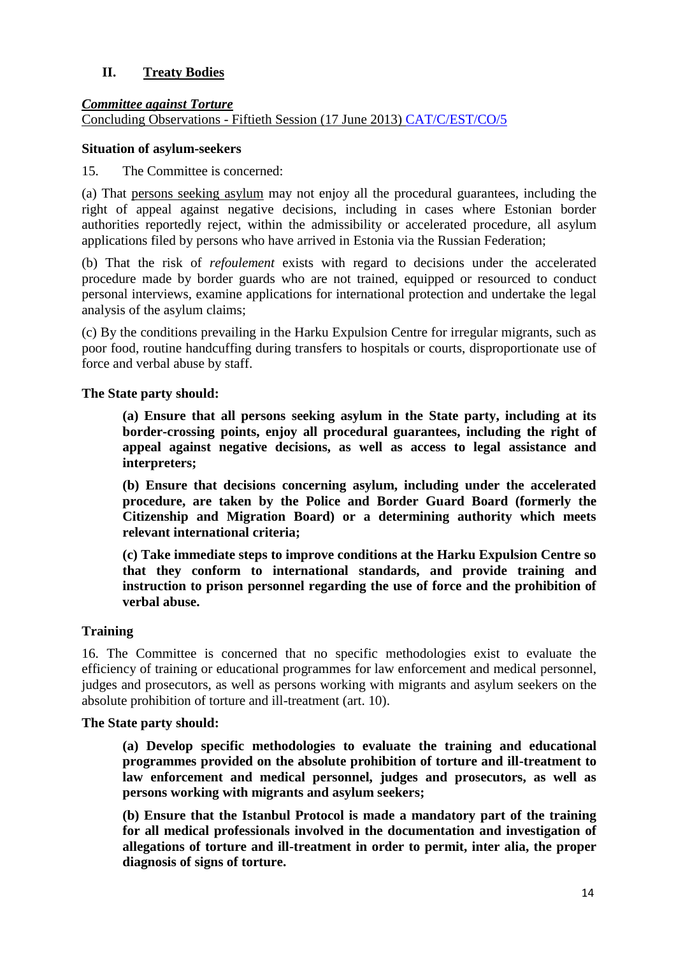## **II. Treaty Bodies**

### *Committee against Torture*

Concluding Observations - Fiftieth Session (17 June 2013) [CAT/C/EST/CO/5](http://www.refworld.org/docid/51dfe0564.html )

#### **Situation of asylum-seekers**

15. The Committee is concerned:

(a) That persons seeking asylum may not enjoy all the procedural guarantees, including the right of appeal against negative decisions, including in cases where Estonian border authorities reportedly reject, within the admissibility or accelerated procedure, all asylum applications filed by persons who have arrived in Estonia via the Russian Federation;

(b) That the risk of *refoulement* exists with regard to decisions under the accelerated procedure made by border guards who are not trained, equipped or resourced to conduct personal interviews, examine applications for international protection and undertake the legal analysis of the asylum claims;

(c) By the conditions prevailing in the Harku Expulsion Centre for irregular migrants, such as poor food, routine handcuffing during transfers to hospitals or courts, disproportionate use of force and verbal abuse by staff.

### **The State party should:**

**(a) Ensure that all persons seeking asylum in the State party, including at its border-crossing points, enjoy all procedural guarantees, including the right of appeal against negative decisions, as well as access to legal assistance and interpreters;**

**(b) Ensure that decisions concerning asylum, including under the accelerated procedure, are taken by the Police and Border Guard Board (formerly the Citizenship and Migration Board) or a determining authority which meets relevant international criteria;**

**(c) Take immediate steps to improve conditions at the Harku Expulsion Centre so that they conform to international standards, and provide training and instruction to prison personnel regarding the use of force and the prohibition of verbal abuse.**

## **Training**

16. The Committee is concerned that no specific methodologies exist to evaluate the efficiency of training or educational programmes for law enforcement and medical personnel, judges and prosecutors, as well as persons working with migrants and asylum seekers on the absolute prohibition of torture and ill-treatment (art. 10).

#### **The State party should:**

**(a) Develop specific methodologies to evaluate the training and educational programmes provided on the absolute prohibition of torture and ill-treatment to law enforcement and medical personnel, judges and prosecutors, as well as persons working with migrants and asylum seekers;**

**(b) Ensure that the Istanbul Protocol is made a mandatory part of the training for all medical professionals involved in the documentation and investigation of allegations of torture and ill-treatment in order to permit, inter alia, the proper diagnosis of signs of torture.**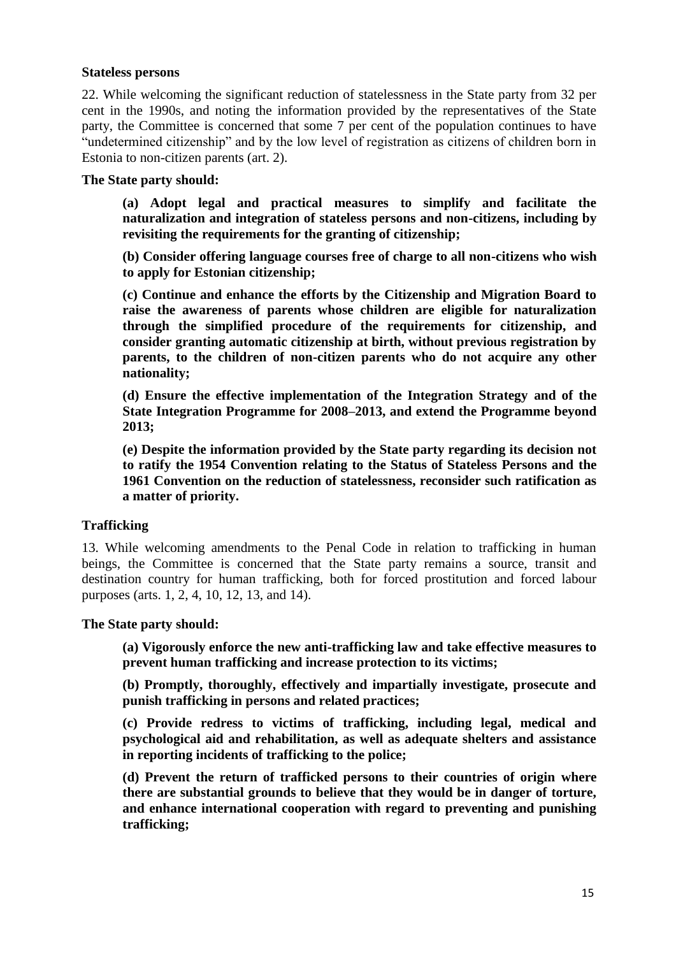#### **Stateless persons**

22. While welcoming the significant reduction of statelessness in the State party from 32 per cent in the 1990s, and noting the information provided by the representatives of the State party, the Committee is concerned that some 7 per cent of the population continues to have "undetermined citizenship" and by the low level of registration as citizens of children born in Estonia to non-citizen parents (art. 2).

### **The State party should:**

**(a) Adopt legal and practical measures to simplify and facilitate the naturalization and integration of stateless persons and non-citizens, including by revisiting the requirements for the granting of citizenship;**

**(b) Consider offering language courses free of charge to all non-citizens who wish to apply for Estonian citizenship;**

**(c) Continue and enhance the efforts by the Citizenship and Migration Board to raise the awareness of parents whose children are eligible for naturalization through the simplified procedure of the requirements for citizenship, and consider granting automatic citizenship at birth, without previous registration by parents, to the children of non-citizen parents who do not acquire any other nationality;**

**(d) Ensure the effective implementation of the Integration Strategy and of the State Integration Programme for 2008–2013, and extend the Programme beyond 2013;**

**(e) Despite the information provided by the State party regarding its decision not to ratify the 1954 Convention relating to the Status of Stateless Persons and the 1961 Convention on the reduction of statelessness, reconsider such ratification as a matter of priority.**

## **Trafficking**

13. While welcoming amendments to the Penal Code in relation to trafficking in human beings, the Committee is concerned that the State party remains a source, transit and destination country for human trafficking, both for forced prostitution and forced labour purposes (arts. 1, 2, 4, 10, 12, 13, and 14).

#### **The State party should:**

**(a) Vigorously enforce the new anti-trafficking law and take effective measures to prevent human trafficking and increase protection to its victims;** 

**(b) Promptly, thoroughly, effectively and impartially investigate, prosecute and punish trafficking in persons and related practices;** 

**(c) Provide redress to victims of trafficking, including legal, medical and psychological aid and rehabilitation, as well as adequate shelters and assistance in reporting incidents of trafficking to the police;**

**(d) Prevent the return of trafficked persons to their countries of origin where there are substantial grounds to believe that they would be in danger of torture, and enhance international cooperation with regard to preventing and punishing trafficking;**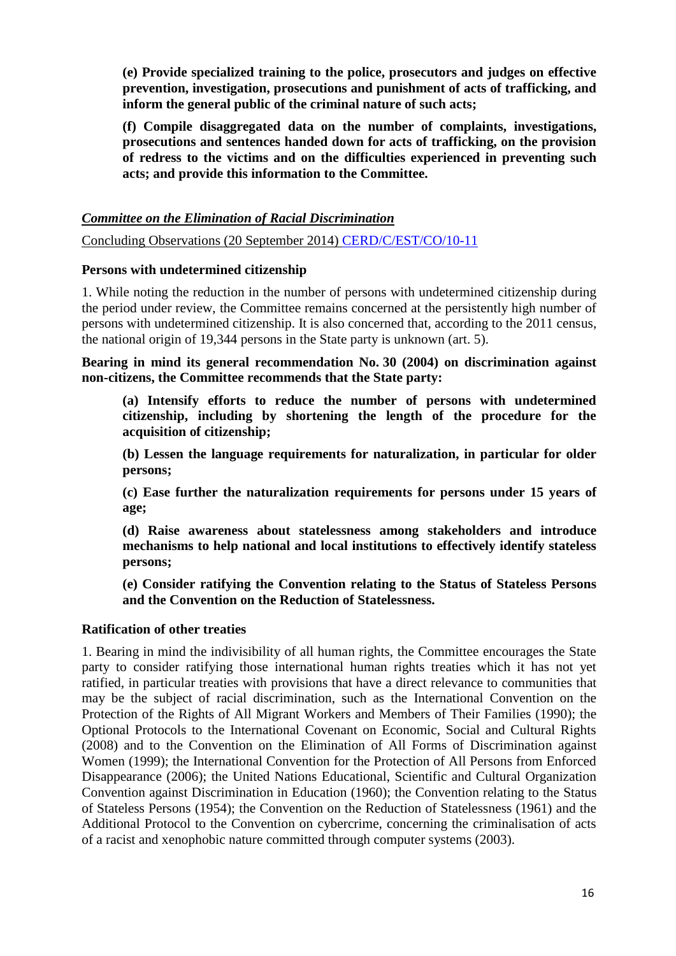**(e) Provide specialized training to the police, prosecutors and judges on effective prevention, investigation, prosecutions and punishment of acts of trafficking, and inform the general public of the criminal nature of such acts;** 

**(f) Compile disaggregated data on the number of complaints, investigations, prosecutions and sentences handed down for acts of trafficking, on the provision of redress to the victims and on the difficulties experienced in preventing such acts; and provide this information to the Committee.** 

*Committee on the Elimination of Racial Discrimination*

Concluding Observations (20 September 2014) [CERD/C/EST/CO/10-11](http://www.refworld.org/docid/53c8eff74.html)

### **Persons with undetermined citizenship**

1. While noting the reduction in the number of persons with undetermined citizenship during the period under review, the Committee remains concerned at the persistently high number of persons with undetermined citizenship. It is also concerned that, according to the 2011 census, the national origin of 19,344 persons in the State party is unknown (art. 5).

**Bearing in mind its general recommendation No. 30 (2004) on discrimination against non-citizens, the Committee recommends that the State party:**

**(a) Intensify efforts to reduce the number of persons with undetermined citizenship, including by shortening the length of the procedure for the acquisition of citizenship;**

**(b) Lessen the language requirements for naturalization, in particular for older persons;**

**(c) Ease further the naturalization requirements for persons under 15 years of age;** 

**(d) Raise awareness about statelessness among stakeholders and introduce mechanisms to help national and local institutions to effectively identify stateless persons;**

**(e) Consider ratifying the Convention relating to the Status of Stateless Persons and the Convention on the Reduction of Statelessness.**

#### **Ratification of other treaties**

1. Bearing in mind the indivisibility of all human rights, the Committee encourages the State party to consider ratifying those international human rights treaties which it has not yet ratified, in particular treaties with provisions that have a direct relevance to communities that may be the subject of racial discrimination, such as the International Convention on the Protection of the Rights of All Migrant Workers and Members of Their Families (1990); the Optional Protocols to the International Covenant on Economic, Social and Cultural Rights (2008) and to the Convention on the Elimination of All Forms of Discrimination against Women (1999); the International Convention for the Protection of All Persons from Enforced Disappearance (2006); the United Nations Educational, Scientific and Cultural Organization Convention against Discrimination in Education (1960); the Convention relating to the Status of Stateless Persons (1954); the Convention on the Reduction of Statelessness (1961) and the Additional Protocol to the Convention on cybercrime, concerning the criminalisation of acts of a racist and xenophobic nature committed through computer systems (2003).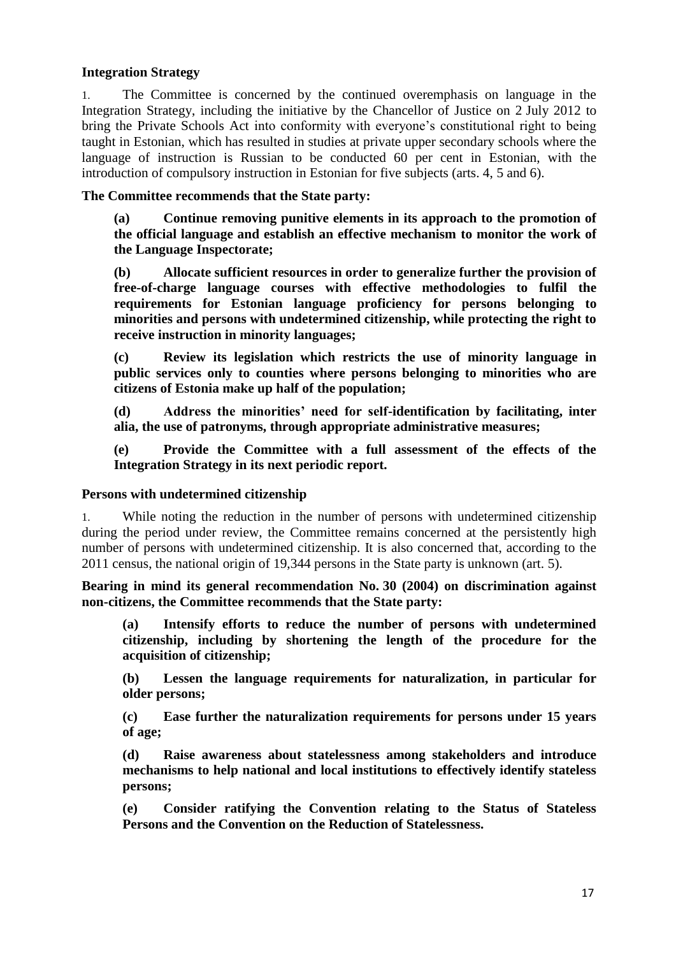### **Integration Strategy**

1. The Committee is concerned by the continued overemphasis on language in the Integration Strategy, including the initiative by the Chancellor of Justice on 2 July 2012 to bring the Private Schools Act into conformity with everyone's constitutional right to being taught in Estonian, which has resulted in studies at private upper secondary schools where the language of instruction is Russian to be conducted 60 per cent in Estonian, with the introduction of compulsory instruction in Estonian for five subjects (arts. 4, 5 and 6).

### **The Committee recommends that the State party:**

**(a) Continue removing punitive elements in its approach to the promotion of the official language and establish an effective mechanism to monitor the work of the Language Inspectorate;**

**(b) Allocate sufficient resources in order to generalize further the provision of free-of-charge language courses with effective methodologies to fulfil the requirements for Estonian language proficiency for persons belonging to minorities and persons with undetermined citizenship, while protecting the right to receive instruction in minority languages;** 

**(c) Review its legislation which restricts the use of minority language in public services only to counties where persons belonging to minorities who are citizens of Estonia make up half of the population;**

**(d) Address the minorities' need for self-identification by facilitating, inter alia, the use of patronyms, through appropriate administrative measures;**

**(e) Provide the Committee with a full assessment of the effects of the Integration Strategy in its next periodic report.**

#### **Persons with undetermined citizenship**

1. While noting the reduction in the number of persons with undetermined citizenship during the period under review, the Committee remains concerned at the persistently high number of persons with undetermined citizenship. It is also concerned that, according to the 2011 census, the national origin of 19,344 persons in the State party is unknown (art. 5).

**Bearing in mind its general recommendation No. 30 (2004) on discrimination against non-citizens, the Committee recommends that the State party:**

**(a) Intensify efforts to reduce the number of persons with undetermined citizenship, including by shortening the length of the procedure for the acquisition of citizenship;**

**(b) Lessen the language requirements for naturalization, in particular for older persons;**

**(c) Ease further the naturalization requirements for persons under 15 years of age;** 

**(d) Raise awareness about statelessness among stakeholders and introduce mechanisms to help national and local institutions to effectively identify stateless persons;**

**(e) Consider ratifying the Convention relating to the Status of Stateless Persons and the Convention on the Reduction of Statelessness.**